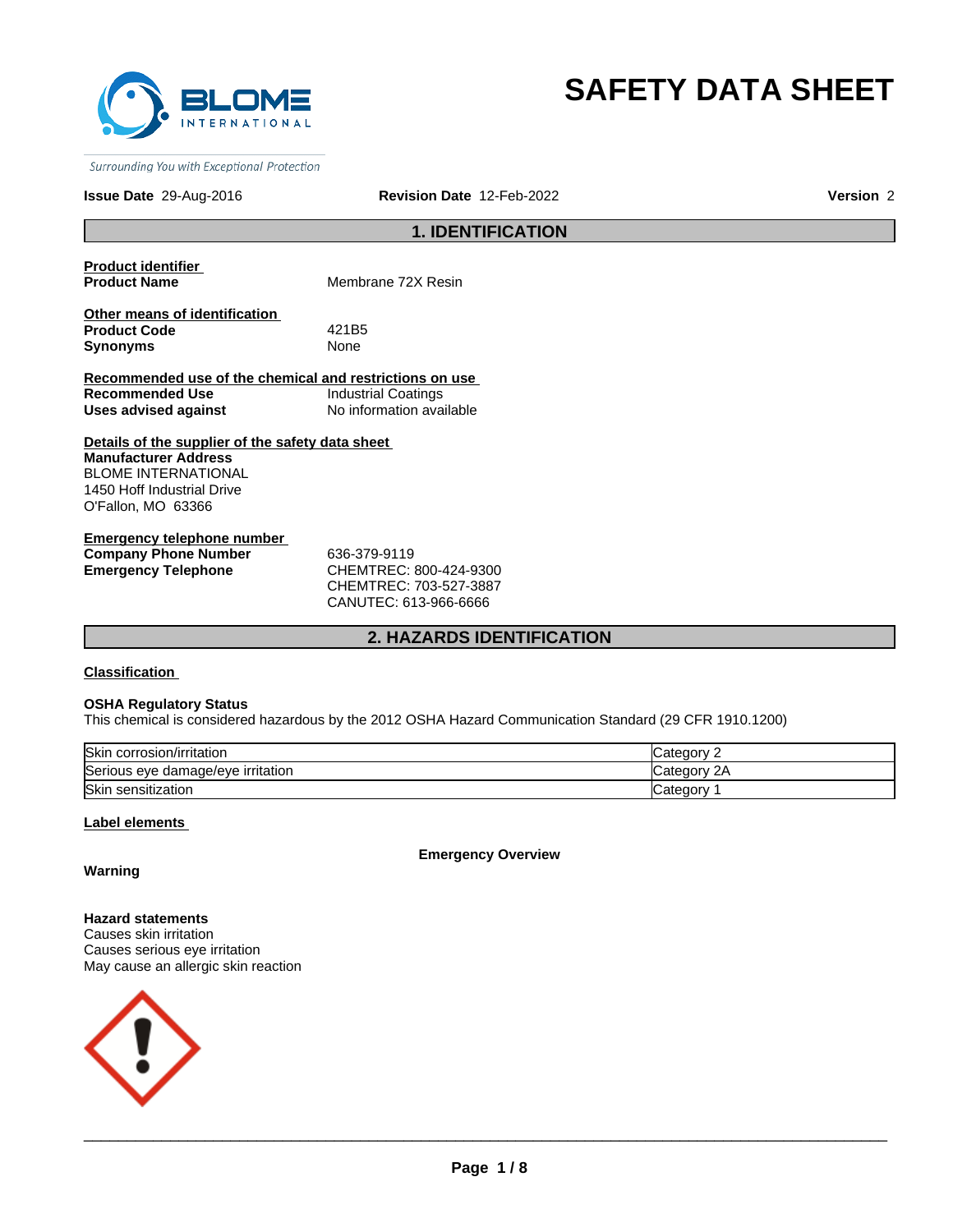

# **SAFETY DATA SHEET**

Surrounding You with Exceptional Protection

# **Issue Date** 29-Aug-2016 **Revision Date** 12-Feb-2022 **Version** 2

# **1. IDENTIFICATION**

**Product identifier** 

**Membrane 72X Resin** 

**Other means of identification Product Code** 421B5 **Synonyms** None

**Recommended use of the chemical and restrictions on use Recommended Use Industrial Coatings Uses advised against** No information available

**Details of the supplier of the safety data sheet Manufacturer Address** BLOME INTERNATIONAL 1450 Hoff Industrial Drive O'Fallon, MO 63366

**Emergency telephone number Company Phone Number** 636-379-9119 **Emergency Telephone** CHEMTREC: 800-424-9300

CHEMTREC: 703-527-3887 CANUTEC: 613-966-6666

# **2. HAZARDS IDENTIFICATION**

**Classification** 

#### **OSHA Regulatory Status**

This chemical is considered hazardous by the 2012 OSHA Hazard Communication Standard (29 CFR 1910.1200)

| <b>Skin</b><br>corrosion/irritation ا | atedory        |
|---------------------------------------|----------------|
| Serious eye damage/eye irritation     | 2Α<br>∟atedor∨ |
| <b>Skin</b><br>ı sensitization        | Categor C      |

# **Label elements**

**Emergency Overview**

# **Warning**

**Hazard statements** Causes skin irritation Causes serious eye irritation May cause an allergic skin reaction

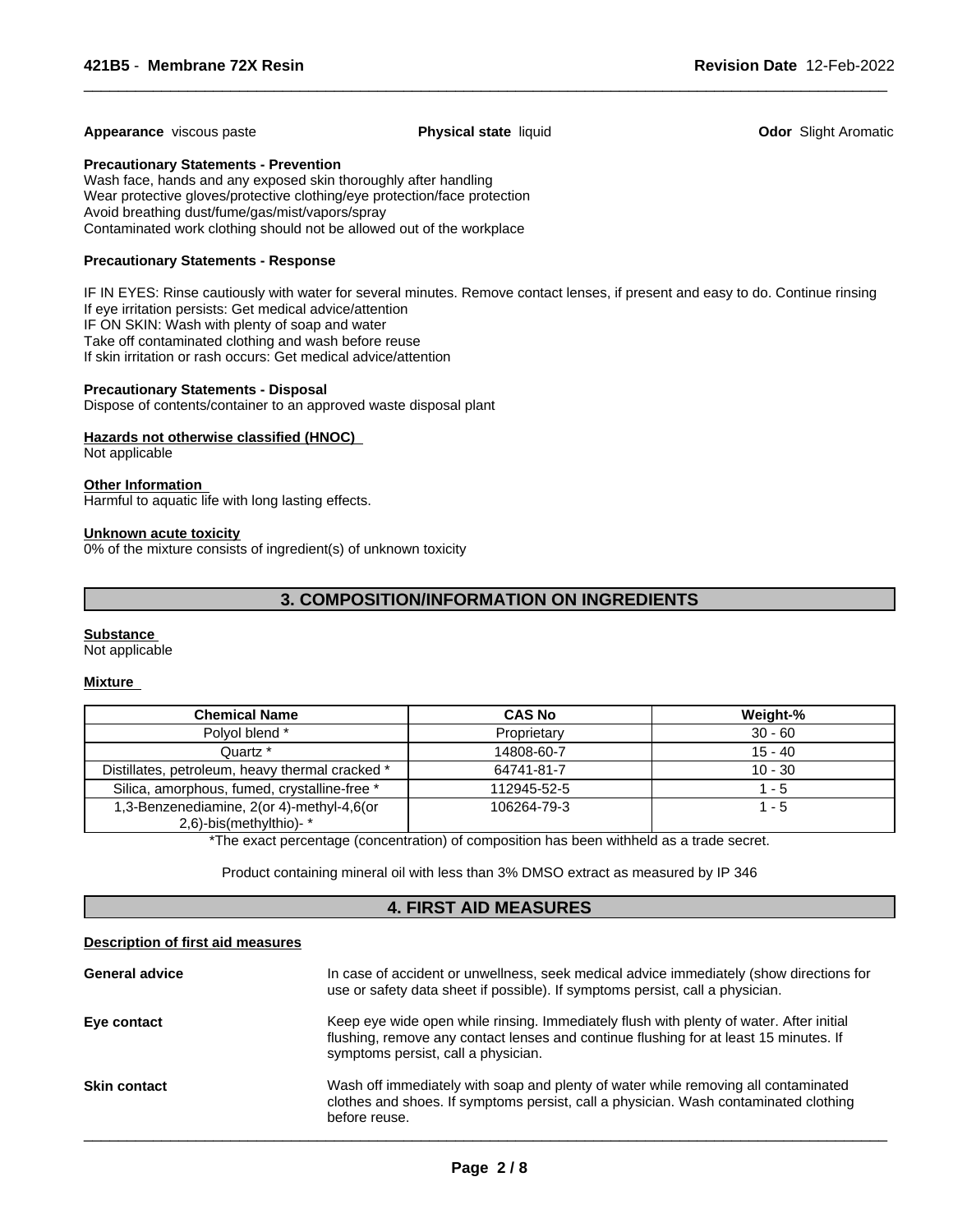#### **Appearance** viscous paste **Physical state** liquid **Physical state in the Codor Slight Aromatic**

 $\overline{\phantom{a}}$  ,  $\overline{\phantom{a}}$  ,  $\overline{\phantom{a}}$  ,  $\overline{\phantom{a}}$  ,  $\overline{\phantom{a}}$  ,  $\overline{\phantom{a}}$  ,  $\overline{\phantom{a}}$  ,  $\overline{\phantom{a}}$  ,  $\overline{\phantom{a}}$  ,  $\overline{\phantom{a}}$  ,  $\overline{\phantom{a}}$  ,  $\overline{\phantom{a}}$  ,  $\overline{\phantom{a}}$  ,  $\overline{\phantom{a}}$  ,  $\overline{\phantom{a}}$  ,  $\overline{\phantom{a}}$ 

#### **Precautionary Statements - Prevention**

Wash face, hands and any exposed skin thoroughly after handling Wear protective gloves/protective clothing/eye protection/face protection Avoid breathing dust/fume/gas/mist/vapors/spray Contaminated work clothing should not be allowed out of the workplace

# **Precautionary Statements - Response**

IF IN EYES: Rinse cautiously with water for several minutes. Remove contact lenses, if present and easy to do. Continue rinsing If eye irritation persists: Get medical advice/attention IF ON SKIN: Wash with plenty of soap and water Take off contaminated clothing and wash before reuse If skin irritation or rash occurs: Get medical advice/attention

## **Precautionary Statements - Disposal**

Dispose of contents/container to an approved waste disposal plant

# **Hazards not otherwise classified (HNOC)**

Not applicable

# **Other Information**

Harmful to aquatic life with long lasting effects.

#### **Unknown acute toxicity**

0% of the mixture consists of ingredient(s) of unknown toxicity

# **3. COMPOSITION/INFORMATION ON INGREDIENTS**

#### **Substance**

Not applicable

#### **Mixture**

| <b>Chemical Name</b>                            | <b>CAS No</b> | Weight-%  |
|-------------------------------------------------|---------------|-----------|
| Polvol blend *                                  | Proprietary   | $30 - 60$ |
| Quartz *                                        | 14808-60-7    | $15 - 40$ |
| Distillates, petroleum, heavy thermal cracked * | 64741-81-7    | $10 - 30$ |
| Silica, amorphous, fumed, crystalline-free *    | 112945-52-5   | $1 - 5$   |
| 1,3-Benzenediamine, 2(or 4)-methyl-4,6(or       | 106264-79-3   | $1 - 5$   |
| 2,6)-bis(methylthio)-*                          |               |           |

\*The exact percentage (concentration) of composition has been withheld as a trade secret.

Product containing mineral oil with less than 3% DMSO extract as measured by IP 346

# **4. FIRST AID MEASURES**

# **Description of first aid measures**

| <b>General advice</b> | In case of accident or unwellness, seek medical advice immediately (show directions for<br>use or safety data sheet if possible). If symptoms persist, call a physician.                                                |
|-----------------------|-------------------------------------------------------------------------------------------------------------------------------------------------------------------------------------------------------------------------|
| Eye contact           | Keep eye wide open while rinsing. Immediately flush with plenty of water. After initial<br>flushing, remove any contact lenses and continue flushing for at least 15 minutes. If<br>symptoms persist, call a physician. |
| <b>Skin contact</b>   | Wash off immediately with soap and plenty of water while removing all contaminated<br>clothes and shoes. If symptoms persist, call a physician. Wash contaminated clothing<br>before reuse.                             |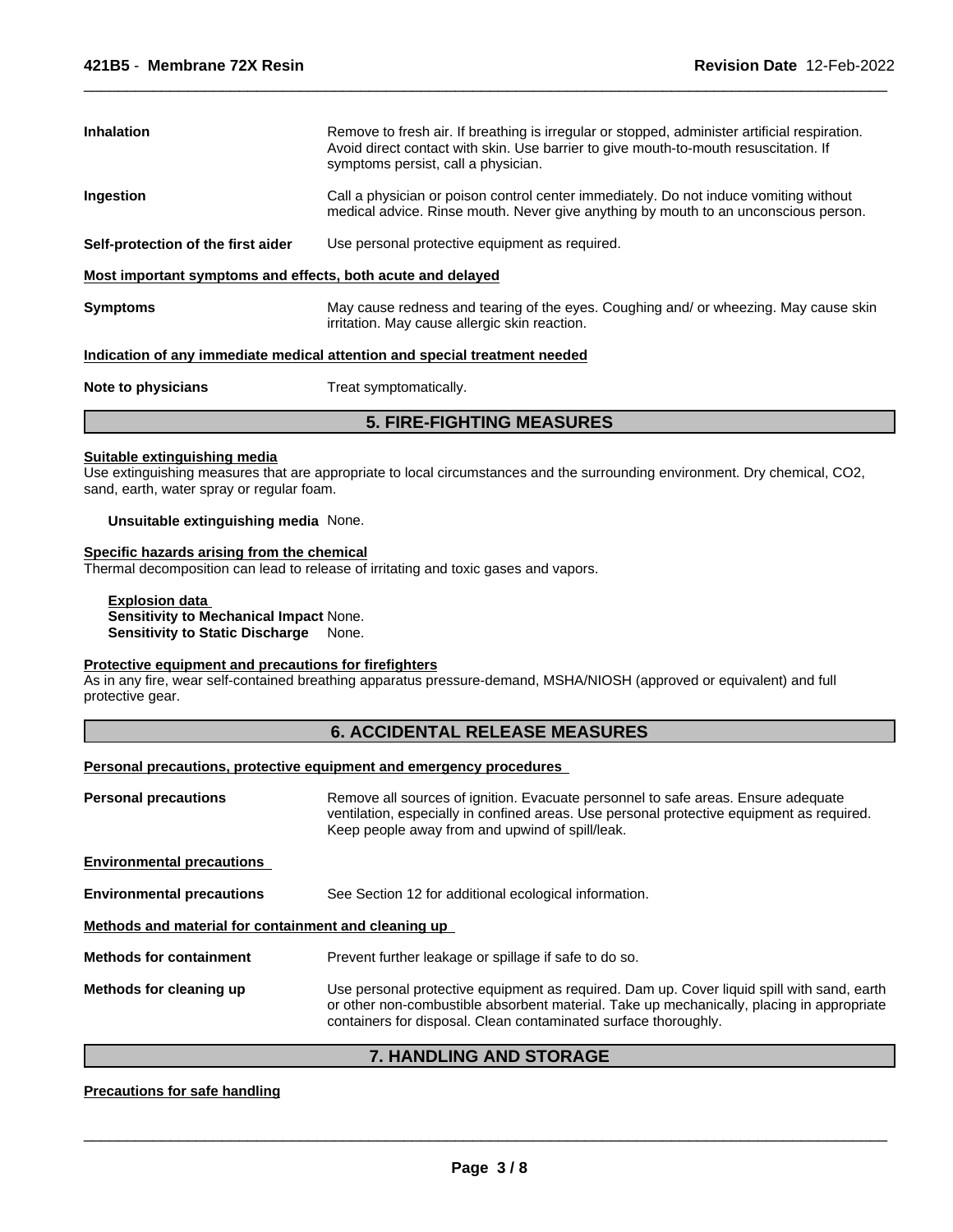| <b>Inhalation</b>                                           | Remove to fresh air. If breathing is irregular or stopped, administer artificial respiration.<br>Avoid direct contact with skin. Use barrier to give mouth-to-mouth resuscitation. If<br>symptoms persist, call a physician. |  |
|-------------------------------------------------------------|------------------------------------------------------------------------------------------------------------------------------------------------------------------------------------------------------------------------------|--|
| Ingestion                                                   | Call a physician or poison control center immediately. Do not induce vomiting without<br>medical advice. Rinse mouth. Never give anything by mouth to an unconscious person.                                                 |  |
| Self-protection of the first aider                          | Use personal protective equipment as required.                                                                                                                                                                               |  |
| Most important symptoms and effects, both acute and delayed |                                                                                                                                                                                                                              |  |
| <b>Symptoms</b>                                             | May cause redness and tearing of the eyes. Coughing and/or wheezing. May cause skin<br>irritation. May cause allergic skin reaction.                                                                                         |  |

 $\overline{\phantom{a}}$  ,  $\overline{\phantom{a}}$  ,  $\overline{\phantom{a}}$  ,  $\overline{\phantom{a}}$  ,  $\overline{\phantom{a}}$  ,  $\overline{\phantom{a}}$  ,  $\overline{\phantom{a}}$  ,  $\overline{\phantom{a}}$  ,  $\overline{\phantom{a}}$  ,  $\overline{\phantom{a}}$  ,  $\overline{\phantom{a}}$  ,  $\overline{\phantom{a}}$  ,  $\overline{\phantom{a}}$  ,  $\overline{\phantom{a}}$  ,  $\overline{\phantom{a}}$  ,  $\overline{\phantom{a}}$ 

## **Indication of any immediate medical attention and special treatment needed**

| Note to physicians | Treat symptomatically. |
|--------------------|------------------------|
|--------------------|------------------------|

# **5. FIRE-FIGHTING MEASURES**

# **Suitable extinguishing media**

Use extinguishing measures that are appropriate to local circumstances and the surrounding environment. Dry chemical, CO2, sand, earth, water spray or regular foam.

# **Unsuitable extinguishing media** None.

# **Specific hazards arising from the chemical**

Thermal decomposition can lead to release of irritating and toxic gases and vapors.

# **Explosion data Sensitivity to Mechanical Impact** None.

**Sensitivity to Static Discharge** None.

# **Protective equipment and precautions for firefighters**

As in any fire, wear self-contained breathing apparatus pressure-demand, MSHA/NIOSH (approved or equivalent) and full protective gear.

# **6. ACCIDENTAL RELEASE MEASURES**

# **Personal precautions, protective equipment and emergency procedures**

| <b>Personal precautions</b>                          | Remove all sources of ignition. Evacuate personnel to safe areas. Ensure adequate<br>ventilation, especially in confined areas. Use personal protective equipment as required.<br>Keep people away from and upwind of spill/leak.                          |
|------------------------------------------------------|------------------------------------------------------------------------------------------------------------------------------------------------------------------------------------------------------------------------------------------------------------|
| <b>Environmental precautions</b>                     |                                                                                                                                                                                                                                                            |
| <b>Environmental precautions</b>                     | See Section 12 for additional ecological information.                                                                                                                                                                                                      |
| Methods and material for containment and cleaning up |                                                                                                                                                                                                                                                            |
| <b>Methods for containment</b>                       | Prevent further leakage or spillage if safe to do so.                                                                                                                                                                                                      |
| Methods for cleaning up                              | Use personal protective equipment as required. Dam up. Cover liquid spill with sand, earth<br>or other non-combustible absorbent material. Take up mechanically, placing in appropriate<br>containers for disposal. Clean contaminated surface thoroughly. |

# **7. HANDLING AND STORAGE**

#### **Precautions for safe handling**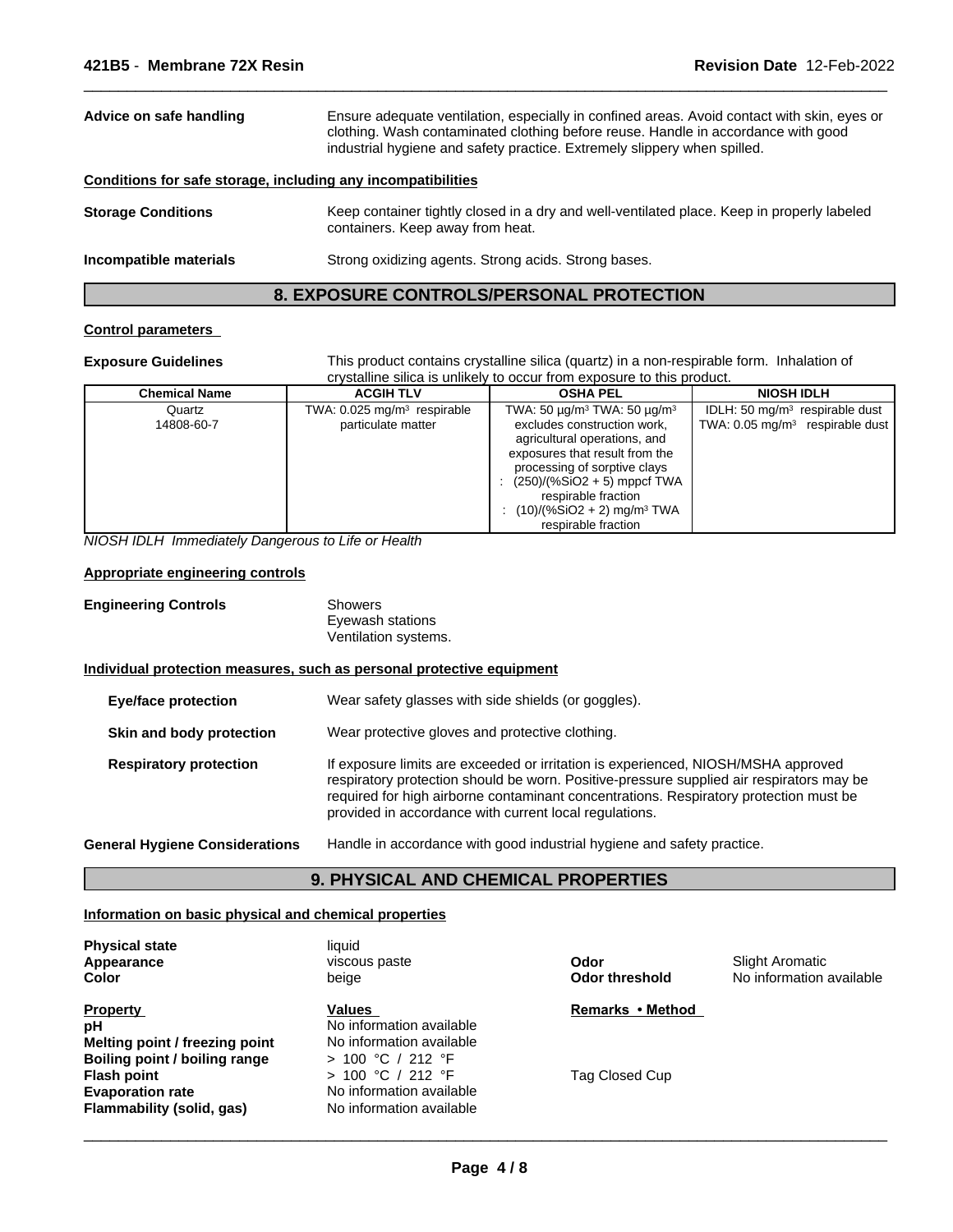| Ensure adequate ventilation, especially in confined areas. Avoid contact with skin, eyes or<br>Advice on safe handling<br>clothing. Wash contaminated clothing before reuse. Handle in accordance with good<br>industrial hygiene and safety practice. Extremely slippery when spilled. |                                                                                                                                |
|-----------------------------------------------------------------------------------------------------------------------------------------------------------------------------------------------------------------------------------------------------------------------------------------|--------------------------------------------------------------------------------------------------------------------------------|
| Conditions for safe storage, including any incompatibilities                                                                                                                                                                                                                            |                                                                                                                                |
| <b>Storage Conditions</b>                                                                                                                                                                                                                                                               | Keep container tightly closed in a dry and well-ventilated place. Keep in properly labeled<br>containers. Keep away from heat. |
| Incompatible materials                                                                                                                                                                                                                                                                  | Strong oxidizing agents. Strong acids. Strong bases.                                                                           |

# **8. EXPOSURE CONTROLS/PERSONAL PROTECTION**

# **Control parameters**

**Exposure Guidelines** This product contains crystalline silica (quartz) in a non-respirable form. Inhalation of crystalline silica is unlikely to occur from exposure to this product.

 $\overline{\phantom{a}}$  ,  $\overline{\phantom{a}}$  ,  $\overline{\phantom{a}}$  ,  $\overline{\phantom{a}}$  ,  $\overline{\phantom{a}}$  ,  $\overline{\phantom{a}}$  ,  $\overline{\phantom{a}}$  ,  $\overline{\phantom{a}}$  ,  $\overline{\phantom{a}}$  ,  $\overline{\phantom{a}}$  ,  $\overline{\phantom{a}}$  ,  $\overline{\phantom{a}}$  ,  $\overline{\phantom{a}}$  ,  $\overline{\phantom{a}}$  ,  $\overline{\phantom{a}}$  ,  $\overline{\phantom{a}}$ 

| <b>Chemical Name</b> | <b>ACGIH TLV</b>                                              | <b>OSHA PEL</b>                                                                                                                                                                                                                                                                                                             | <b>NIOSH IDLH</b>                                                                        |
|----------------------|---------------------------------------------------------------|-----------------------------------------------------------------------------------------------------------------------------------------------------------------------------------------------------------------------------------------------------------------------------------------------------------------------------|------------------------------------------------------------------------------------------|
| Quartz<br>14808-60-7 | TWA: 0.025 mg/m <sup>3</sup> respirable<br>particulate matter | TWA: 50 $\mu$ g/m <sup>3</sup> TWA: 50 $\mu$ g/m <sup>3</sup><br>excludes construction work,<br>agricultural operations, and<br>exposures that result from the<br>processing of sorptive clays<br>: $(250)/(%SiO2 + 5)$ mppcf TWA<br>respirable fraction<br>$(10)/(%SiO2 + 2)$ mg/m <sup>3</sup> TWA<br>respirable fraction | IDLH: 50 mg/m <sup>3</sup> respirable dust<br>TWA: $0.05 \text{ mg/m}^3$ respirable dust |

*NIOSH IDLH Immediately Dangerous to Life or Health*

# **Appropriate engineering controls**

| <b>Engineering Controls</b> | Showers              |  |
|-----------------------------|----------------------|--|
|                             | Eyewash stations     |  |
|                             | Ventilation systems. |  |

#### **Individual protection measures, such as personal protective equipment**

| <b>Eye/face protection</b>            | Wear safety glasses with side shields (or goggles).                                                                                                                                                                                                                                                                              |
|---------------------------------------|----------------------------------------------------------------------------------------------------------------------------------------------------------------------------------------------------------------------------------------------------------------------------------------------------------------------------------|
| Skin and body protection              | Wear protective gloves and protective clothing.                                                                                                                                                                                                                                                                                  |
| <b>Respiratory protection</b>         | If exposure limits are exceeded or irritation is experienced, NIOSH/MSHA approved<br>respiratory protection should be worn. Positive-pressure supplied air respirators may be<br>required for high airborne contaminant concentrations. Respiratory protection must be<br>provided in accordance with current local regulations. |
| <b>General Hygiene Considerations</b> | Handle in accordance with good industrial hygiene and safety practice.                                                                                                                                                                                                                                                           |

# **9. PHYSICAL AND CHEMICAL PROPERTIES**

#### **Information on basic physical and chemical properties**

**Physical state** liquid **Color Appearance**

**Melting point / freezing point** No information available **Boiling point / boiling range** > 100 °C / 212 °F **Flash point**  $> 100 °C / 212 °F$ **Evaporation rate** No information available **Property Flammability (solid, gas)** No information available **pH** No information available

beige viscous paste

**Values** 

**Odor**

**Odor threshold** No information available Slight Aromatic

**Remarks•Method**

Tag Closed Cup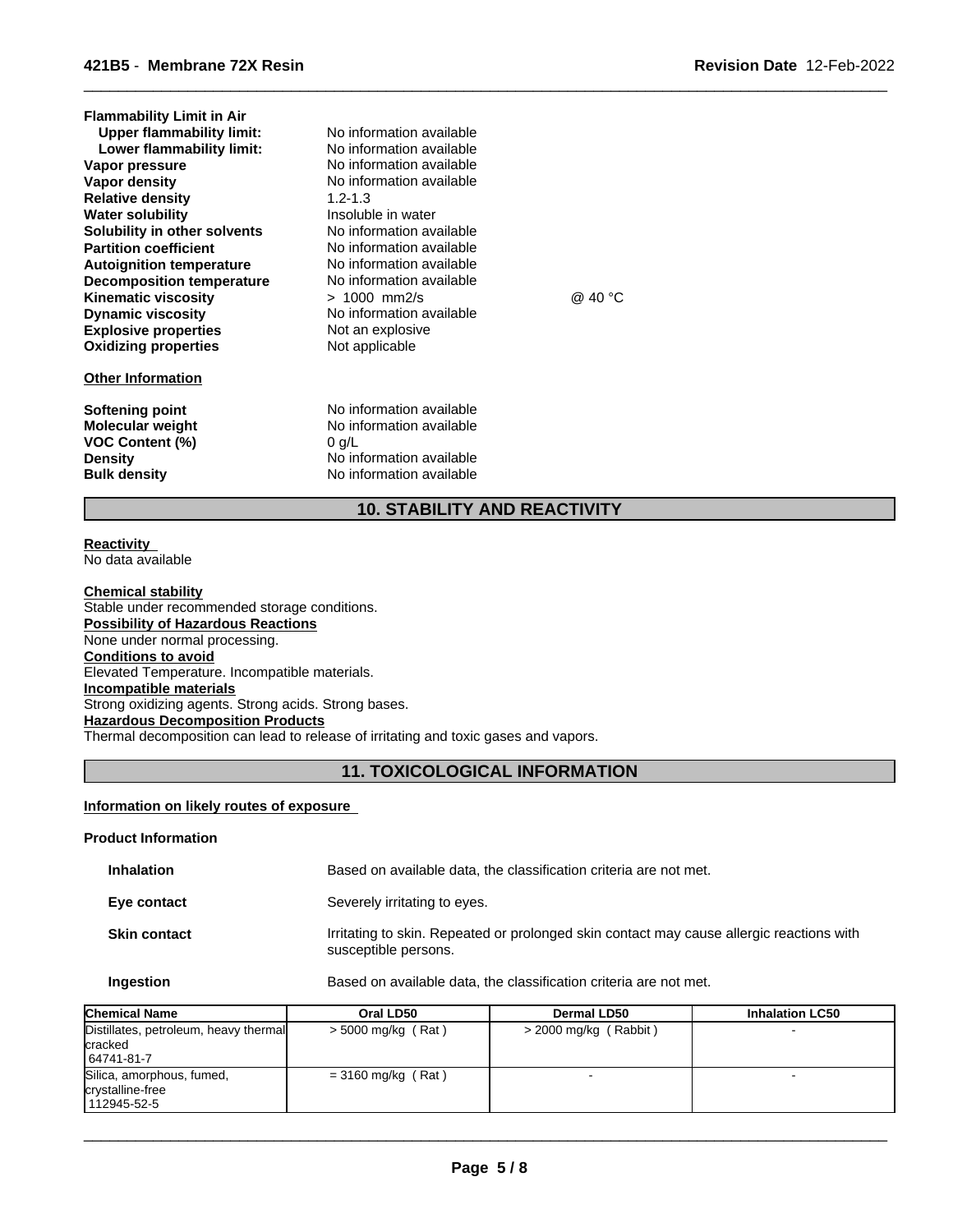| <b>Flammability Limit in Air</b><br><b>Upper flammability limit:</b><br>Lower flammability limit:<br>Vapor pressure<br>Vapor density<br><b>Relative density</b><br><b>Water solubility</b><br>Solubility in other solvents<br><b>Partition coefficient</b><br><b>Autoignition temperature</b><br><b>Decomposition temperature</b><br><b>Kinematic viscosity</b><br><b>Dynamic viscosity</b><br><b>Explosive properties</b><br><b>Oxidizing properties</b> | No information available<br>No information available<br>No information available<br>No information available<br>$1.2 - 1.3$<br>Insoluble in water<br>No information available<br>No information available<br>No information available<br>No information available<br>$> 1000$ mm2/s<br>No information available<br>Not an explosive<br>Not applicable | @ 40 $^{\circ}$ C |
|-----------------------------------------------------------------------------------------------------------------------------------------------------------------------------------------------------------------------------------------------------------------------------------------------------------------------------------------------------------------------------------------------------------------------------------------------------------|-------------------------------------------------------------------------------------------------------------------------------------------------------------------------------------------------------------------------------------------------------------------------------------------------------------------------------------------------------|-------------------|
| <b>Other Information</b>                                                                                                                                                                                                                                                                                                                                                                                                                                  |                                                                                                                                                                                                                                                                                                                                                       |                   |
| Softening point<br><b>Molecular weight</b><br><b>VOC Content (%)</b>                                                                                                                                                                                                                                                                                                                                                                                      | No information available<br>No information available<br>$0$ g/L                                                                                                                                                                                                                                                                                       |                   |

**Density** No information available<br> **Bulk density** No information available

**No information available** 

**10. STABILITY AND REACTIVITY**

 $\overline{\phantom{a}}$  ,  $\overline{\phantom{a}}$  ,  $\overline{\phantom{a}}$  ,  $\overline{\phantom{a}}$  ,  $\overline{\phantom{a}}$  ,  $\overline{\phantom{a}}$  ,  $\overline{\phantom{a}}$  ,  $\overline{\phantom{a}}$  ,  $\overline{\phantom{a}}$  ,  $\overline{\phantom{a}}$  ,  $\overline{\phantom{a}}$  ,  $\overline{\phantom{a}}$  ,  $\overline{\phantom{a}}$  ,  $\overline{\phantom{a}}$  ,  $\overline{\phantom{a}}$  ,  $\overline{\phantom{a}}$ 

#### **Reactivity**  No data available

**Chemical stability** Stable under recommended storage conditions. **Possibility of Hazardous Reactions** None under normal processing. **Conditions to avoid** Elevated Temperature. Incompatible materials. **Incompatible materials** Strong oxidizing agents. Strong acids. Strong bases. **Hazardous Decomposition Products** Thermal decomposition can lead to release of irritating and toxic gases and vapors.

# **11. TOXICOLOGICAL INFORMATION**

# **Information on likely routes of exposure**

# **Product Information**

| <b>Inhalation</b>   | Based on available data, the classification criteria are not met.                                                |
|---------------------|------------------------------------------------------------------------------------------------------------------|
| Eye contact         | Severely irritating to eyes.                                                                                     |
| <b>Skin contact</b> | Irritating to skin. Repeated or prolonged skin contact may cause allergic reactions with<br>susceptible persons. |

| Based on available data, the classification criteria are not met.<br>Ingestion |  |
|--------------------------------------------------------------------------------|--|
|--------------------------------------------------------------------------------|--|

| <b>Chemical Name</b>                                                  | Oral LD50            | Dermal LD50           | <b>Inhalation LC50</b> |
|-----------------------------------------------------------------------|----------------------|-----------------------|------------------------|
| Distillates, petroleum, heavy thermal<br><b>cracked</b><br>64741-81-7 | $>$ 5000 mg/kg (Rat) | > 2000 mg/kg (Rabbit) |                        |
| Silica, amorphous, fumed,<br>crystalline-free<br>112945-52-5          | $=$ 3160 mg/kg (Rat) |                       |                        |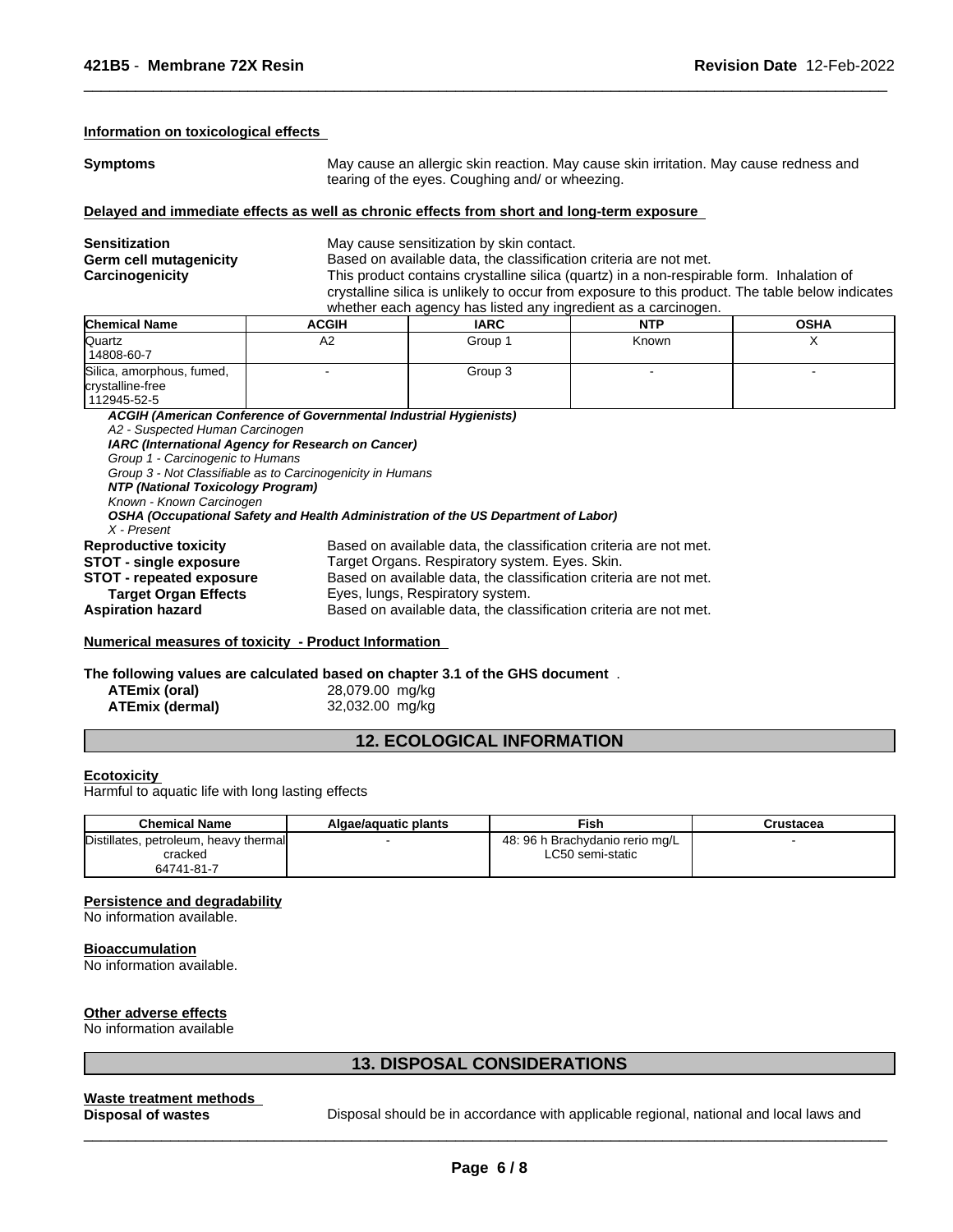## **Information on toxicological effects**

**Symptoms May cause an allergic skin reaction. May cause skin irritation. May cause redness and Symptoms** tearing of the eyes. Coughing and/ or wheezing.

 $\overline{\phantom{a}}$  ,  $\overline{\phantom{a}}$  ,  $\overline{\phantom{a}}$  ,  $\overline{\phantom{a}}$  ,  $\overline{\phantom{a}}$  ,  $\overline{\phantom{a}}$  ,  $\overline{\phantom{a}}$  ,  $\overline{\phantom{a}}$  ,  $\overline{\phantom{a}}$  ,  $\overline{\phantom{a}}$  ,  $\overline{\phantom{a}}$  ,  $\overline{\phantom{a}}$  ,  $\overline{\phantom{a}}$  ,  $\overline{\phantom{a}}$  ,  $\overline{\phantom{a}}$  ,  $\overline{\phantom{a}}$ 

#### **Delayed and immediate effects as well as chronic effects from short and long-term exposure**

| <b>Sensitization</b>   |                                                                                           | May cause sensitization by skin contact.                                                         |            |             |  |  |  |
|------------------------|-------------------------------------------------------------------------------------------|--------------------------------------------------------------------------------------------------|------------|-------------|--|--|--|
| Germ cell mutagenicity |                                                                                           | Based on available data, the classification criteria are not met.                                |            |             |  |  |  |
| Carcinogenicity        | This product contains crystalline silica (quartz) in a non-respirable form. Inhalation of |                                                                                                  |            |             |  |  |  |
|                        |                                                                                           | crystalline silica is unlikely to occur from exposure to this product. The table below indicates |            |             |  |  |  |
|                        | whether each agency has listed any ingredient as a carcinogen.                            |                                                                                                  |            |             |  |  |  |
| <b>Chemical Name</b>   | <b>ACGIH</b>                                                                              | <b>IARC</b>                                                                                      | <b>NTP</b> | <b>OSHA</b> |  |  |  |

| Quartz<br>14808-60-7                          | A2                                                                                 | Group 1                                                           | Known | Χ |
|-----------------------------------------------|------------------------------------------------------------------------------------|-------------------------------------------------------------------|-------|---|
| Silica, amorphous, fumed,<br>crystalline-free |                                                                                    | Group 3                                                           |       |   |
| 112945-52-5                                   |                                                                                    |                                                                   |       |   |
|                                               | ACGIH (American Conference of Governmental Industrial Hygienists)                  |                                                                   |       |   |
| A2 - Suspected Human Carcinogen               |                                                                                    |                                                                   |       |   |
|                                               | IARC (International Agency for Research on Cancer)                                 |                                                                   |       |   |
| Group 1 - Carcinogenic to Humans              |                                                                                    |                                                                   |       |   |
|                                               | Group 3 - Not Classifiable as to Carcinogenicity in Humans                         |                                                                   |       |   |
| NTP (National Toxicology Program)             |                                                                                    |                                                                   |       |   |
| Known - Known Carcinogen                      |                                                                                    |                                                                   |       |   |
|                                               | OSHA (Occupational Safety and Health Administration of the US Department of Labor) |                                                                   |       |   |
| X - Present                                   |                                                                                    |                                                                   |       |   |
| <b>Reproductive toxicity</b>                  |                                                                                    | Based on available data, the classification criteria are not met. |       |   |
| STOT - single exposure                        |                                                                                    | Target Organs. Respiratory system. Eyes. Skin.                    |       |   |
| <b>STOT</b> - repeated exposure               |                                                                                    | Based on available data, the classification criteria are not met. |       |   |
| <b>Target Organ Effects</b>                   |                                                                                    | Eyes, lungs, Respiratory system.                                  |       |   |
|                                               |                                                                                    |                                                                   |       |   |
| <b>Aspiration hazard</b>                      |                                                                                    | Based on available data, the classification criteria are not met. |       |   |

# **Numerical measures of toxicity - Product Information**

**The following values are calculated based on chapter 3.1 of the GHS document** .

| ATEmix (oral)   |  |
|-----------------|--|
| ATEmix (dermal) |  |

**ATEmix (oral)** 28,079.00 mg/kg **ATEmix (dermal)** 32,032.00 mg/kg

# **12. ECOLOGICAL INFORMATION**

# **Ecotoxicity**

Harmful to aquatic life with long lasting effects

| <b>Chemical Name</b>                                           | Algae/aguatic plants | Fish                                                | Crustacea |
|----------------------------------------------------------------|----------------------|-----------------------------------------------------|-----------|
| Distillates, petroleum, heavy thermal<br>cracked<br>64741-81-7 |                      | 48: 96 h Brachydanio rerio mg/L<br>LC50 semi-static |           |

# **Persistence and degradability**

No information available.

# **Bioaccumulation**

No information available.

# **Other adverse effects**

No information available

# **13. DISPOSAL CONSIDERATIONS**

# **Waste treatment methods**

**Disposal of wastes** Disposal should be in accordance with applicable regional, national and local laws and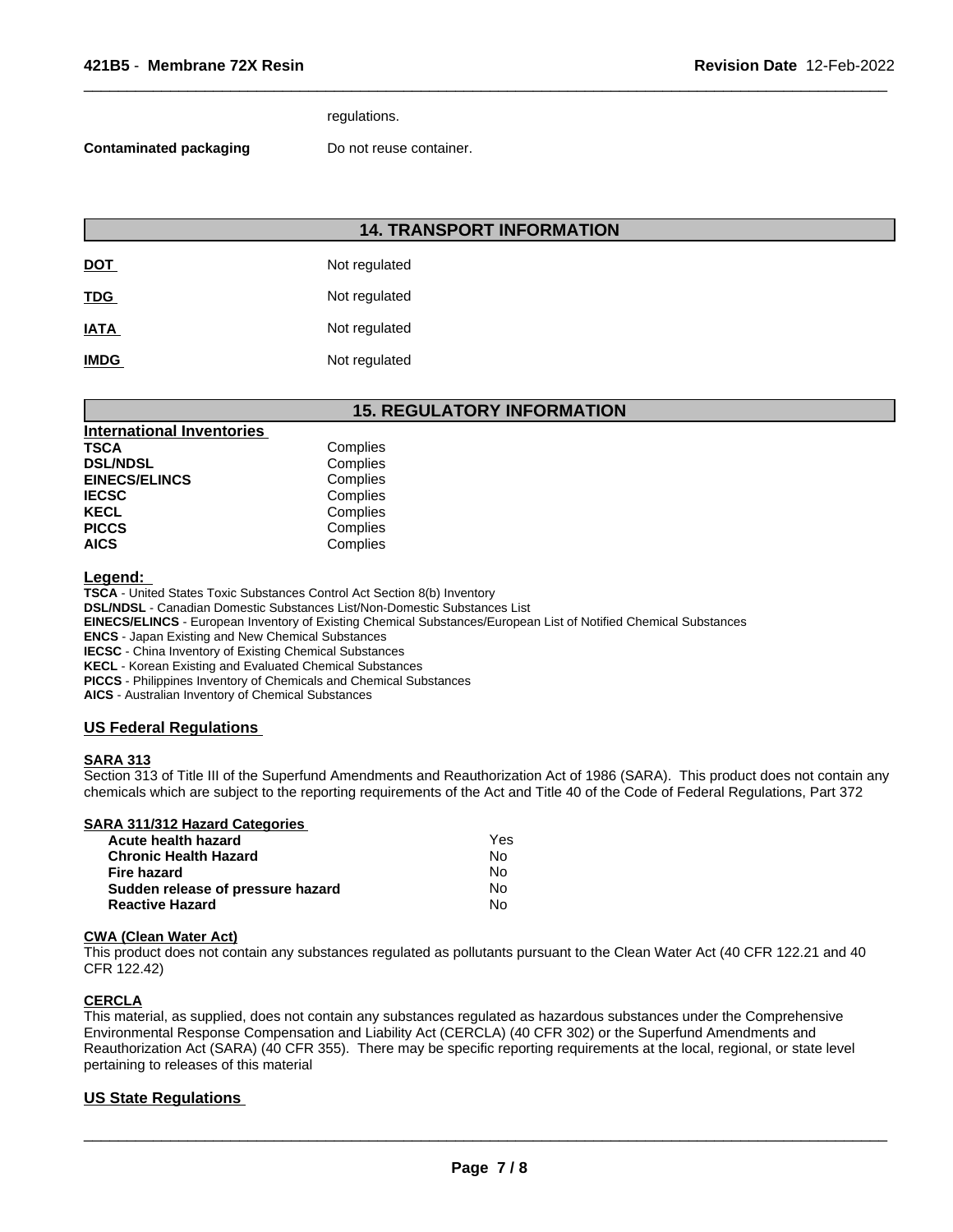# regulations.

## **Contaminated packaging Do not reuse container.**

| <b>14. TRANSPORT INFORMATION</b> |               |  |
|----------------------------------|---------------|--|
| <u>DOT</u>                       | Not regulated |  |
| <b>TDG</b>                       | Not regulated |  |
| <b>IATA</b>                      | Not regulated |  |
| <b>IMDG</b>                      | Not regulated |  |

# **15. REGULATORY INFORMATION**

 $\overline{\phantom{a}}$  ,  $\overline{\phantom{a}}$  ,  $\overline{\phantom{a}}$  ,  $\overline{\phantom{a}}$  ,  $\overline{\phantom{a}}$  ,  $\overline{\phantom{a}}$  ,  $\overline{\phantom{a}}$  ,  $\overline{\phantom{a}}$  ,  $\overline{\phantom{a}}$  ,  $\overline{\phantom{a}}$  ,  $\overline{\phantom{a}}$  ,  $\overline{\phantom{a}}$  ,  $\overline{\phantom{a}}$  ,  $\overline{\phantom{a}}$  ,  $\overline{\phantom{a}}$  ,  $\overline{\phantom{a}}$ 

| <b>International Inventories</b> |          |
|----------------------------------|----------|
| TSCA                             | Complies |
| <b>DSL/NDSL</b>                  | Complies |
| <b>EINECS/ELINCS</b>             | Complies |
| <b>IECSC</b>                     | Complies |
| KECL                             | Complies |
| <b>PICCS</b>                     | Complies |
| <b>AICS</b>                      | Complies |

## **Legend:**

**TSCA** - United States Toxic Substances Control Act Section 8(b) Inventory

**DSL/NDSL** - Canadian Domestic Substances List/Non-Domestic Substances List

**EINECS/ELINCS** - European Inventory of Existing Chemical Substances/European List of Notified Chemical Substances

**ENCS** - Japan Existing and New Chemical Substances

**IECSC** - China Inventory of Existing Chemical Substances

**KECL** - Korean Existing and Evaluated Chemical Substances

**PICCS** - Philippines Inventory of Chemicals and Chemical Substances

**AICS** - Australian Inventory of Chemical Substances

# **US Federal Regulations**

# **SARA 313**

Section 313 of Title III of the Superfund Amendments and Reauthorization Act of 1986 (SARA). This product does not contain any chemicals which are subject to the reporting requirements of the Act and Title 40 of the Code of Federal Regulations, Part 372

# **SARA 311/312 Hazard Categories**

| Acute health hazard               | Yes |  |
|-----------------------------------|-----|--|
| Chronic Health Hazard             | No. |  |
| Fire hazard                       | N٥  |  |
| Sudden release of pressure hazard | No. |  |
| <b>Reactive Hazard</b>            | N٥  |  |

# **CWA (Clean Water Act)**

This product does not contain any substances regulated as pollutants pursuant to the Clean Water Act (40 CFR 122.21 and 40 CFR 122.42)

# **CERCLA**

This material, as supplied, does not contain any substances regulated as hazardous substances under the Comprehensive Environmental Response Compensation and Liability Act (CERCLA) (40 CFR 302) or the Superfund Amendments and Reauthorization Act (SARA) (40 CFR 355). There may be specific reporting requirements at the local, regional, or state level pertaining to releases of this material

# **US State Regulations**